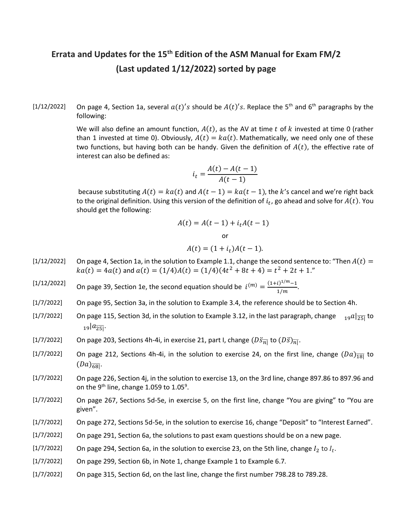## Errata and Updates for the 15<sup>th</sup> Edition of the ASM Manual for Exam FM/2 (Last updated 1/12/2022) sorted by page

[1/12/2022] On page 4, Section 1a, several  $a(t)'s$  should be  $A(t)'s$ . Replace the 5<sup>th</sup> and 6<sup>th</sup> paragraphs by the following:

> We will also define an amount function,  $A(t)$ , as the AV at time t of k invested at time 0 (rather than 1 invested at time 0). Obviously,  $A(t) = ka(t)$ . Mathematically, we need only one of these two functions, but having both can be handy. Given the definition of  $A(t)$ , the effective rate of interest can also be defined as:

$$
i_t = \frac{A(t) - A(t-1)}{A(t-1)}
$$

because substituting  $A(t) = ka(t)$  and  $A(t - 1) = ka(t - 1)$ , the k's cancel and we're right back to the original definition. Using this version of the definition of  $i_t$ , go ahead and solve for  $A(t)$ . You should get the following:

$$
A(t) = A(t-1) + itA(t-1)
$$
  
or  

$$
A(t) = (1 + it)A(t-1).
$$

- [1/12/2022] On page 4, Section 1a, in the solution to Example 1.1, change the second sentence to: "Then  $A(t)$  =  $ka(t) = 4a(t)$  and  $a(t) = (1/4)A(t) = (1/4)(4t^2 + 8t + 4) = t^2 + 2t + 1.$ "
- [1/12/2022] On page 39, Section 1e, the second equation should be  $i^{(m)} = \frac{(1+i)^{1/m}-1}{4/m}$ .  $\frac{(1)^{n} - 1}{(1/m)}$
- [1/7/2022] On page 95, Section 3a, in the solution to Example 3.4, the reference should be to Section 4h.
- [1/7/2022] On page 115, Section 3d, in the solution to Example 3.12, in the last paragraph, change  $_{19}a|_{\overline{251}}$  to  $a_{\overline{25}}$ .
- [1/7/2022] On page 203, Sections 4h-4i, in exercise 21, part I, change  $(D\ddot{s}_{\overline{n}|}$  to  $(D\ddot{s})_{\overline{n}|}$ .
- [1/7/2022] On page 212, Sections 4h-4i, in the solution to exercise 24, on the first line, change  $(Da)_{\overline{18}}$  to  $(Da)_{\overline{681}}$ .
- [1/7/2022] On page 226, Section 4j, in the solution to exercise 13, on the 3rd line, change 897.86 to 897.96 and on the 9<sup>th</sup> line, change 1.059 to 1.05<sup>9</sup>.
- [1/7/2022] On page 267, Sections 5d-5e, in exercise 5, on the first line, change "You are giving" to "You are given".
- [1/7/2022] On page 272, Sections 5d-5e, in the solution to exercise 16, change "Deposit" to "Interest Earned".
- [1/7/2022] On page 291, Section 6a, the solutions to past exam questions should be on a new page.
- [1/7/2022] On page 294, Section 6a, in the solution to exercise 23, on the 5th line, change  $I_2$  to  $I_t$ .
- [1/7/2022] On page 299, Section 6b, in Note 1, change Example 1 to Example 6.7.
- [1/7/2022] On page 315, Section 6d, on the last line, change the first number 798.28 to 789.28.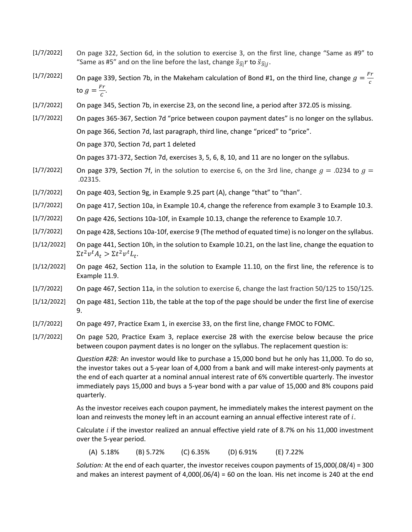- [1/7/2022] On page 322, Section 6d, in the solution to exercise 3, on the first line, change "Same as #9" to "Same as #5" and on the line before the last, change  $\ddot{s}_{\overline{3}|}r$  to  $\ddot{s}_{\overline{3}|j}$ .
- [1/7/2022] On page 339, Section 7b, in the Makeham calculation of Bond #1, on the third line, change  $g = \frac{Fr}{c}$  $\boldsymbol{c}$ to  $g = \frac{Fr}{c}$  $\frac{7}{c}$ .
- [1/7/2022] On page 345, Section 7b, in exercise 23, on the second line, a period after 372.05 is missing.
- [1/7/2022] On pages 365-367, Section 7d "price between coupon payment dates" is no longer on the syllabus. On page 366, Section 7d, last paragraph, third line, change "priced" to "price".

On page 370, Section 7d, part 1 deleted

On pages 371-372, Section 7d, exercises 3, 5, 6, 8, 10, and 11 are no longer on the syllabus.

- [1/7/2022] On page 379, Section 7f, in the solution to exercise 6, on the 3rd line, change  $q = .0234$  to  $q =$ .02315.
- $[1/7/2022]$  On page 403, Section 9g, in Example 9.25 part (A), change "that" to "than".
- [1/7/2022] On page 417, Section 10a, in Example 10.4, change the reference from example 3 to Example 10.3.
- [1/7/2022] On page 426, Sections 10a-10f, in Example 10.13, change the reference to Example 10.7.
- [1/7/2022] On page 428, Sections 10a-10f, exercise 9 (The method of equated time) is no longer on the syllabus.
- [1/12/2022] On page 441, Section 10h, in the solution to Example 10.21, on the last line, change the equation to  $\sum t^2 v^t A_t > \sum t^2 v^t L_t.$
- [1/12/2022] On page 462, Section 11a, in the solution to Example 11.10, on the first line, the reference is to Example 11.9.
- [1/7/2022] On page 467, Section 11a, in the solution to exercise 6, change the last fraction 50/125 to 150/125.
- [1/12/2022] On page 481, Section 11b, the table at the top of the page should be under the first line of exercise 9.
- [1/7/2022] On page 497, Practice Exam 1, in exercise 33, on the first line, change FMOC to FOMC.
- [1/7/2022] On page 520, Practice Exam 3, replace exercise 28 with the exercise below because the price between coupon payment dates is no longer on the syllabus. The replacement question is:

Question #28: An investor would like to purchase a 15,000 bond but he only has 11,000. To do so, the investor takes out a 5-year loan of 4,000 from a bank and will make interest-only payments at the end of each quarter at a nominal annual interest rate of 6% convertible quarterly. The investor immediately pays 15,000 and buys a 5-year bond with a par value of 15,000 and 8% coupons paid quarterly.

As the investor receives each coupon payment, he immediately makes the interest payment on the loan and reinvests the money left in an account earning an annual effective interest rate of  $i$ .

Calculate  $i$  if the investor realized an annual effective yield rate of 8.7% on his 11,000 investment over the 5-year period.

(A) 5.18% (B) 5.72% (C) 6.35% (D) 6.91% (E) 7.22%

Solution: At the end of each quarter, the investor receives coupon payments of 15,000(.08/4) = 300 and makes an interest payment of  $4,000(.06/4) = 60$  on the loan. His net income is 240 at the end